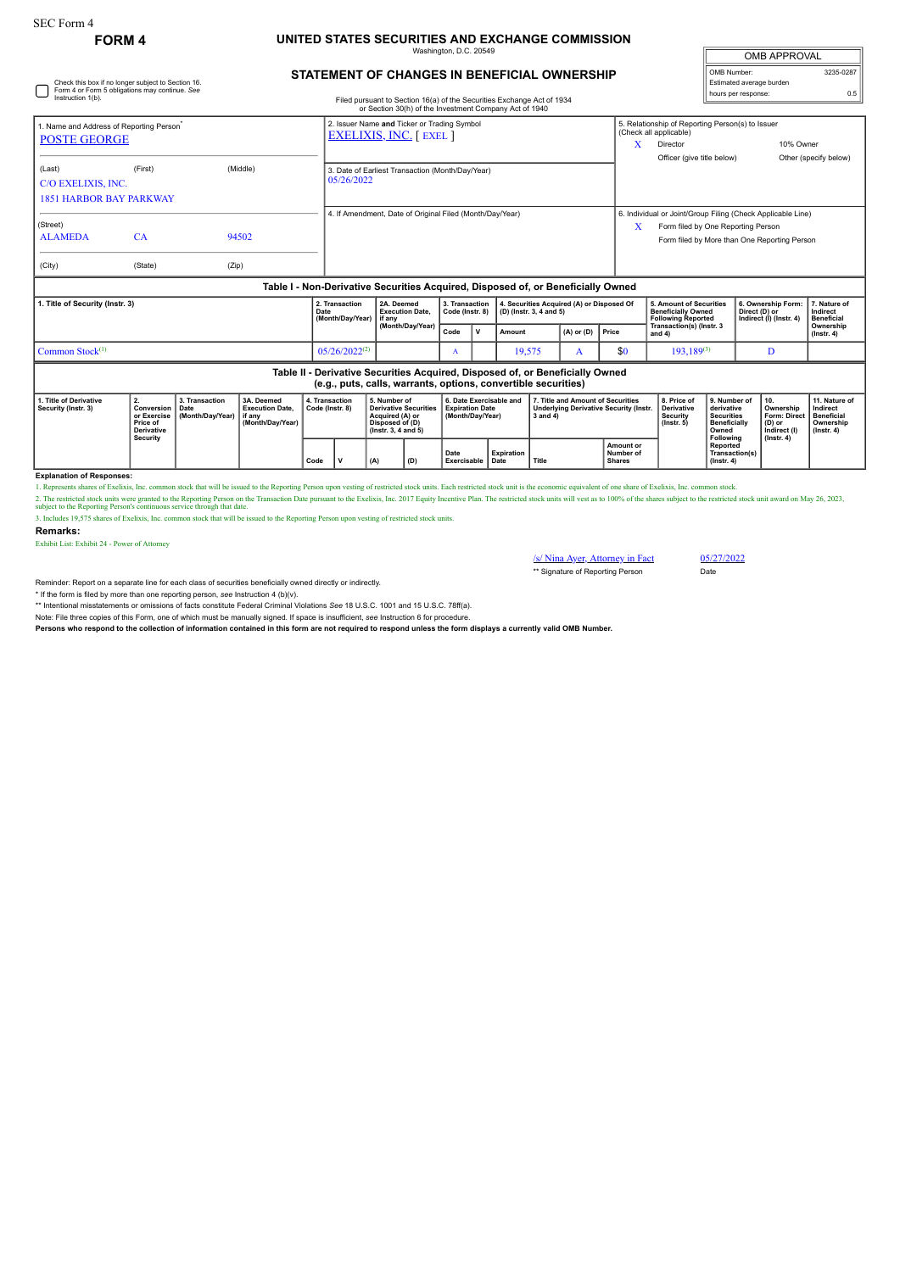Check this box if no longer subject to Section 16. Form 4 or Form 5 obligations may continue. *See*

## **FORM 4 UNITED STATES SECURITIES AND EXCHANGE COMMISSION** inaton, D.C. 20

| <b>OMB APPROVAL</b>      |           |  |  |  |  |  |  |  |  |
|--------------------------|-----------|--|--|--|--|--|--|--|--|
| OMB Number:              | 3235-0287 |  |  |  |  |  |  |  |  |
| Estimated average burden |           |  |  |  |  |  |  |  |  |
| hours per response:      | ሰ 5       |  |  |  |  |  |  |  |  |

## **STATEMENT OF CHANGES IN BENEFICIAL OWNERSHIP**

| Instruction 1(b).                                                                                                                               |                                                                              |                                            |                                                                                  |      |                                                                               |                                                                    |                                                                                                                 |                                           |                                                                       | Filed pursuant to Section 16(a) of the Securities Exchange Act of 1934<br>or Section 30(h) of the Investment Company Act of 1940 |                         |                                                                                                    |                                         |                                                                                                                                                   |                                                                                              | noare per reepenee                                             |                                                                          |                                                                                 |  |
|-------------------------------------------------------------------------------------------------------------------------------------------------|------------------------------------------------------------------------------|--------------------------------------------|----------------------------------------------------------------------------------|------|-------------------------------------------------------------------------------|--------------------------------------------------------------------|-----------------------------------------------------------------------------------------------------------------|-------------------------------------------|-----------------------------------------------------------------------|----------------------------------------------------------------------------------------------------------------------------------|-------------------------|----------------------------------------------------------------------------------------------------|-----------------------------------------|---------------------------------------------------------------------------------------------------------------------------------------------------|----------------------------------------------------------------------------------------------|----------------------------------------------------------------|--------------------------------------------------------------------------|---------------------------------------------------------------------------------|--|
| 1. Name and Address of Reporting Person <sup>®</sup><br><b>POSTE GEORGE</b>                                                                     |                                                                              |                                            |                                                                                  |      | 2. Issuer Name and Ticker or Trading Symbol<br><b>EXELIXIS, INC.</b> [ EXEL ] |                                                                    |                                                                                                                 |                                           |                                                                       |                                                                                                                                  |                         |                                                                                                    | X                                       | 5. Relationship of Reporting Person(s) to Issuer<br>(Check all applicable)<br>10% Owner<br>Director                                               |                                                                                              |                                                                |                                                                          |                                                                                 |  |
| (Last)<br>C/O EXELIXIS, INC.<br><b>1851 HARBOR BAY PARKWAY</b>                                                                                  | (First)                                                                      |                                            | (Middle)                                                                         |      | 3. Date of Earliest Transaction (Month/Day/Year)<br>05/26/2022                |                                                                    |                                                                                                                 |                                           |                                                                       |                                                                                                                                  |                         |                                                                                                    |                                         | Officer (give title below)                                                                                                                        |                                                                                              |                                                                |                                                                          | Other (specify below)                                                           |  |
| (Street)<br><b>ALAMEDA</b><br>(City)                                                                                                            | CA<br>(State)                                                                | (Zip)                                      | 94502                                                                            |      | 4. If Amendment, Date of Original Filed (Month/Day/Year)                      |                                                                    |                                                                                                                 |                                           |                                                                       |                                                                                                                                  |                         |                                                                                                    | X                                       | 6. Individual or Joint/Group Filing (Check Applicable Line)<br>Form filed by One Reporting Person<br>Form filed by More than One Reporting Person |                                                                                              |                                                                |                                                                          |                                                                                 |  |
|                                                                                                                                                 |                                                                              |                                            | Table I - Non-Derivative Securities Acquired, Disposed of, or Beneficially Owned |      |                                                                               |                                                                    |                                                                                                                 |                                           |                                                                       |                                                                                                                                  |                         |                                                                                                    |                                         |                                                                                                                                                   |                                                                                              |                                                                |                                                                          |                                                                                 |  |
| 1. Title of Security (Instr. 3)                                                                                                                 |                                                                              |                                            |                                                                                  | Date | 2. Transaction<br>(Month/Dav/Year)                                            | 2A. Deemed<br><b>Execution Date.</b><br>if anv<br>(Month/Day/Year) |                                                                                                                 | 3. Transaction<br>Code (Instr. 8)<br>Code |                                                                       |                                                                                                                                  | (D) (Instr. 3, 4 and 5) | 4. Securities Acquired (A) or Disposed Of                                                          |                                         | 5. Amount of Securities<br><b>Beneficially Owned</b><br><b>Following Reported</b><br>Transaction(s) (Instr. 3                                     |                                                                                              | 6. Ownership Form:<br>Direct (D) or<br>Indirect (I) (Instr. 4) |                                                                          | 7. Nature of<br>Indirect<br><b>Beneficial</b><br>Ownership                      |  |
|                                                                                                                                                 |                                                                              |                                            |                                                                                  |      |                                                                               |                                                                    |                                                                                                                 |                                           | v                                                                     | $(A)$ or $(D)$<br>Amount                                                                                                         |                         | Price                                                                                              | and 4)                                  |                                                                                                                                                   |                                                                                              |                                                                | $($ Instr. 4 $)$                                                         |                                                                                 |  |
| Common Stock <sup>(1)</sup>                                                                                                                     |                                                                              |                                            |                                                                                  |      | $05/26/2022^{(2)}$                                                            |                                                                    | A                                                                                                               |                                           | 19,575<br>A                                                           |                                                                                                                                  | \$0                     | $193.189^{(3)}$                                                                                    |                                         | D                                                                                                                                                 |                                                                                              |                                                                |                                                                          |                                                                                 |  |
| Table II - Derivative Securities Acquired, Disposed of, or Beneficially Owned<br>(e.g., puts, calls, warrants, options, convertible securities) |                                                                              |                                            |                                                                                  |      |                                                                               |                                                                    |                                                                                                                 |                                           |                                                                       |                                                                                                                                  |                         |                                                                                                    |                                         |                                                                                                                                                   |                                                                                              |                                                                |                                                                          |                                                                                 |  |
| 1. Title of Derivative<br>Security (Instr. 3)                                                                                                   | 2.<br>Conversion<br>or Exercise<br>Price of<br><b>Derivative</b><br>Security | 3. Transaction<br>Date<br>(Month/Day/Year) | 3A. Deemed<br><b>Execution Date.</b><br>if anv<br>(Month/Dav/Year)               |      | 4. Transaction<br>Code (Instr. 8)                                             |                                                                    | 5. Number of<br><b>Derivative Securities</b><br>Acquired (A) or<br>Disposed of (D)<br>$($ lnstr. 3, 4 and 5 $)$ |                                           | 6. Date Exercisable and<br><b>Expiration Date</b><br>(Month/Day/Year) |                                                                                                                                  |                         | 7. Title and Amount of Securities<br><b>Underlying Derivative Security (Instr.</b><br>$3$ and $4)$ |                                         | 8. Price of<br><b>Derivative</b><br><b>Security</b><br>$($ lnstr $, 5)$                                                                           | 9. Number of<br>derivative<br><b>Securities</b><br><b>Beneficially</b><br>Owned<br>Following | 10.                                                            | Ownership<br><b>Form: Direct</b><br>(D) or<br>Indirect (I)<br>(Instr. 4) | 11. Nature of<br>Indirect<br><b>Beneficial</b><br>Ownership<br>$($ Instr. 4 $)$ |  |
|                                                                                                                                                 |                                                                              |                                            |                                                                                  | Code | v                                                                             | (A)                                                                | (D)                                                                                                             | Date                                      | <b>Expiration</b><br>Exercisable Date                                 |                                                                                                                                  | Title                   |                                                                                                    | Amount or<br>Number of<br><b>Shares</b> |                                                                                                                                                   | Reported<br>Transaction(s)<br>$($ Instr. 4 $)$                                               |                                                                |                                                                          |                                                                                 |  |

**Explanation of Responses:**

1. Represents shares of Exelixis, Inc. common stock that will be issued to the Reporting Person upon vesting of restricted stock units. Each restricted stock unit is the economic equivalent of one share of Exelixis, Inc. c

2. The restricted stock units were granted to the Reporting Person on the Transaction Date pursuant to the Exelixis, Inc. 2017 Equity Incentive Plan. The restricted stock units will vest as to 100% of the shares subject to

**Remarks:**

Exhibit List: Exhibit 24 - Power of Attorney

 $\frac{\sqrt{s}}{\sqrt{27}}$  Nina Ayer, Attorney in Fact 05/27/2022 \*\* Signature of Reporting Person Date

Reminder: Report on a separate line for each class of securities beneficially owned directly or indirectly.

\* If the form is filed by more than one reporting person, *see* Instruction 4 (b)(v).

\*\* Intentional misstatements or omissions of facts constitute Federal Criminal Violations *See* 18 U.S.C. 1001 and 15 U.S.C. 78ff(a).

Note: File three copies of this Form, one of which must be manually signed. If space is insufficient, *see* Instruction 6 for procedure. **Persons who respond to the collection of information contained in this form are not required to respond unless the form displays a currently valid OMB Number.**